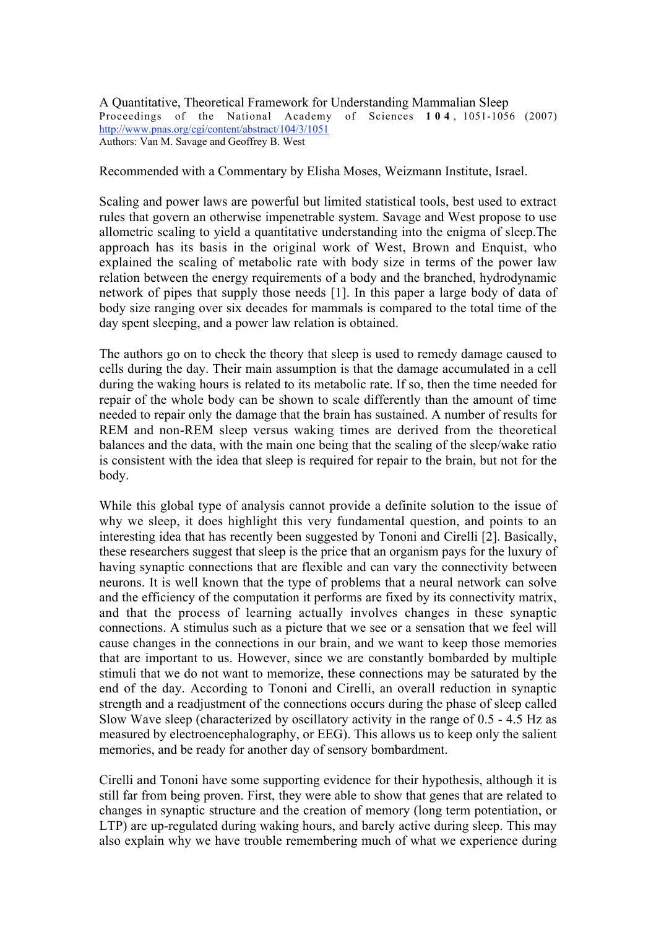A Quantitative, Theoretical Framework for Understanding Mammalian Sleep Proceedings of the National Academy of Sciences **104** , 1051-1056 (2007) http://www.pnas.org/cgi/content/abstract/104/3/1051 Authors: Van M. Savage and Geoffrey B. West

Recommended with a Commentary by Elisha Moses, Weizmann Institute, Israel.

Scaling and power laws are powerful but limited statistical tools, best used to extract rules that govern an otherwise impenetrable system. Savage and West propose to use allometric scaling to yield a quantitative understanding into the enigma of sleep.The approach has its basis in the original work of West, Brown and Enquist, who explained the scaling of metabolic rate with body size in terms of the power law relation between the energy requirements of a body and the branched, hydrodynamic network of pipes that supply those needs [1]. In this paper a large body of data of body size ranging over six decades for mammals is compared to the total time of the day spent sleeping, and a power law relation is obtained.

The authors go on to check the theory that sleep is used to remedy damage caused to cells during the day. Their main assumption is that the damage accumulated in a cell during the waking hours is related to its metabolic rate. If so, then the time needed for repair of the whole body can be shown to scale differently than the amount of time needed to repair only the damage that the brain has sustained. A number of results for REM and non-REM sleep versus waking times are derived from the theoretical balances and the data, with the main one being that the scaling of the sleep/wake ratio is consistent with the idea that sleep is required for repair to the brain, but not for the body.

While this global type of analysis cannot provide a definite solution to the issue of why we sleep, it does highlight this very fundamental question, and points to an interesting idea that has recently been suggested by Tononi and Cirelli [2]. Basically, these researchers suggest that sleep is the price that an organism pays for the luxury of having synaptic connections that are flexible and can vary the connectivity between neurons. It is well known that the type of problems that a neural network can solve and the efficiency of the computation it performs are fixed by its connectivity matrix, and that the process of learning actually involves changes in these synaptic connections. A stimulus such as a picture that we see or a sensation that we feel will cause changes in the connections in our brain, and we want to keep those memories that are important to us. However, since we are constantly bombarded by multiple stimuli that we do not want to memorize, these connections may be saturated by the end of the day. According to Tononi and Cirelli, an overall reduction in synaptic strength and a readjustment of the connections occurs during the phase of sleep called Slow Wave sleep (characterized by oscillatory activity in the range of 0.5 - 4.5 Hz as measured by electroencephalography, or EEG). This allows us to keep only the salient memories, and be ready for another day of sensory bombardment.

Cirelli and Tononi have some supporting evidence for their hypothesis, although it is still far from being proven. First, they were able to show that genes that are related to changes in synaptic structure and the creation of memory (long term potentiation, or LTP) are up-regulated during waking hours, and barely active during sleep. This may also explain why we have trouble remembering much of what we experience during